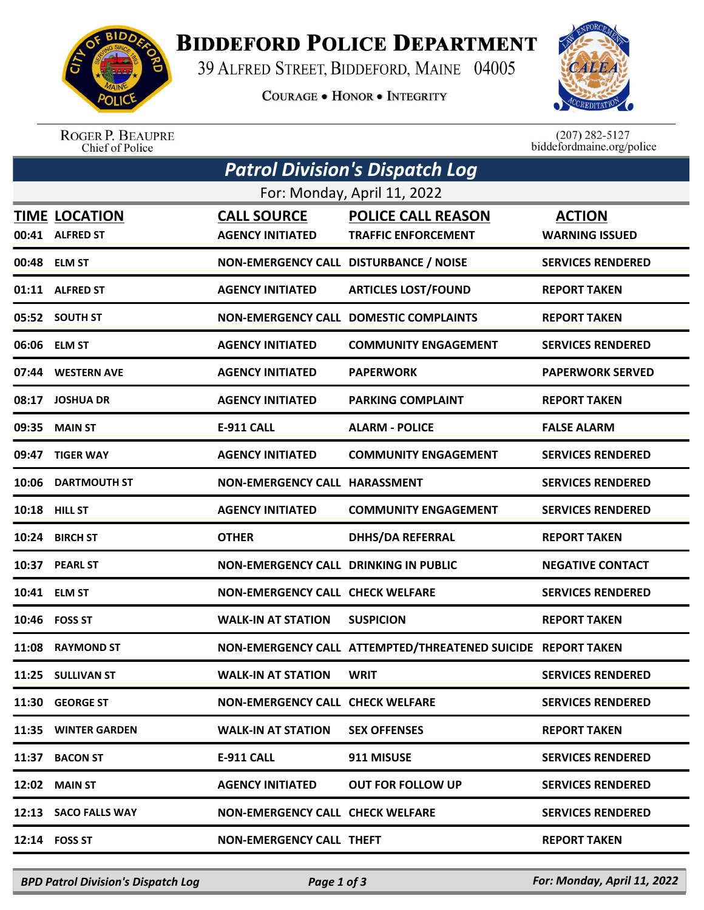

## **BIDDEFORD POLICE DEPARTMENT**

39 ALFRED STREET, BIDDEFORD, MAINE 04005

**COURAGE . HONOR . INTEGRITY** 



ROGER P. BEAUPRE<br>Chief of Police

 $(207)$  282-5127<br>biddefordmaine.org/police

| <b>Patrol Division's Dispatch Log</b> |                                         |                                               |                                                              |                                        |  |  |  |  |
|---------------------------------------|-----------------------------------------|-----------------------------------------------|--------------------------------------------------------------|----------------------------------------|--|--|--|--|
| For: Monday, April 11, 2022           |                                         |                                               |                                                              |                                        |  |  |  |  |
|                                       | <b>TIME LOCATION</b><br>00:41 ALFRED ST | <b>CALL SOURCE</b><br><b>AGENCY INITIATED</b> | <b>POLICE CALL REASON</b><br><b>TRAFFIC ENFORCEMENT</b>      | <b>ACTION</b><br><b>WARNING ISSUED</b> |  |  |  |  |
|                                       | 00:48 ELM ST                            | NON-EMERGENCY CALL DISTURBANCE / NOISE        |                                                              | <b>SERVICES RENDERED</b>               |  |  |  |  |
|                                       | 01:11 ALFRED ST                         | <b>AGENCY INITIATED</b>                       | <b>ARTICLES LOST/FOUND</b>                                   | <b>REPORT TAKEN</b>                    |  |  |  |  |
|                                       | 05:52 SOUTH ST                          |                                               | <b>NON-EMERGENCY CALL DOMESTIC COMPLAINTS</b>                | <b>REPORT TAKEN</b>                    |  |  |  |  |
|                                       | 06:06 ELM ST                            | <b>AGENCY INITIATED</b>                       | <b>COMMUNITY ENGAGEMENT</b>                                  | <b>SERVICES RENDERED</b>               |  |  |  |  |
|                                       | 07:44 WESTERN AVE                       | <b>AGENCY INITIATED</b>                       | <b>PAPERWORK</b>                                             | <b>PAPERWORK SERVED</b>                |  |  |  |  |
| 08:17                                 | <b>JOSHUA DR</b>                        | <b>AGENCY INITIATED</b>                       | <b>PARKING COMPLAINT</b>                                     | <b>REPORT TAKEN</b>                    |  |  |  |  |
| 09:35                                 | <b>MAIN ST</b>                          | <b>E-911 CALL</b>                             | <b>ALARM - POLICE</b>                                        | <b>FALSE ALARM</b>                     |  |  |  |  |
| 09:47                                 | <b>TIGER WAY</b>                        | <b>AGENCY INITIATED</b>                       | <b>COMMUNITY ENGAGEMENT</b>                                  | <b>SERVICES RENDERED</b>               |  |  |  |  |
| 10:06                                 | <b>DARTMOUTH ST</b>                     | NON-EMERGENCY CALL HARASSMENT                 |                                                              | <b>SERVICES RENDERED</b>               |  |  |  |  |
|                                       | 10:18 HILL ST                           | <b>AGENCY INITIATED</b>                       | <b>COMMUNITY ENGAGEMENT</b>                                  | <b>SERVICES RENDERED</b>               |  |  |  |  |
| 10:24                                 | <b>BIRCH ST</b>                         | <b>OTHER</b>                                  | <b>DHHS/DA REFERRAL</b>                                      | <b>REPORT TAKEN</b>                    |  |  |  |  |
| 10:37                                 | <b>PEARL ST</b>                         | <b>NON-EMERGENCY CALL DRINKING IN PUBLIC</b>  |                                                              | <b>NEGATIVE CONTACT</b>                |  |  |  |  |
|                                       | 10:41 ELM ST                            | <b>NON-EMERGENCY CALL CHECK WELFARE</b>       |                                                              | <b>SERVICES RENDERED</b>               |  |  |  |  |
|                                       | 10:46 FOSS ST                           | <b>WALK-IN AT STATION</b>                     | <b>SUSPICION</b>                                             | <b>REPORT TAKEN</b>                    |  |  |  |  |
| 11:08                                 | <b>RAYMOND ST</b>                       |                                               | NON-EMERGENCY CALL ATTEMPTED/THREATENED SUICIDE REPORT TAKEN |                                        |  |  |  |  |
|                                       | 11:25 SULLIVAN ST                       | <b>WALK-IN AT STATION</b>                     | <b>WRIT</b>                                                  | <b>SERVICES RENDERED</b>               |  |  |  |  |
|                                       | 11:30 GEORGE ST                         | <b>NON-EMERGENCY CALL CHECK WELFARE</b>       |                                                              | <b>SERVICES RENDERED</b>               |  |  |  |  |
|                                       | 11:35 WINTER GARDEN                     | <b>WALK-IN AT STATION</b>                     | <b>SEX OFFENSES</b>                                          | <b>REPORT TAKEN</b>                    |  |  |  |  |
| 11:37                                 | <b>BACON ST</b>                         | <b>E-911 CALL</b>                             | 911 MISUSE                                                   | <b>SERVICES RENDERED</b>               |  |  |  |  |
| 12:02                                 | <b>MAIN ST</b>                          | <b>AGENCY INITIATED</b>                       | <b>OUT FOR FOLLOW UP</b>                                     | <b>SERVICES RENDERED</b>               |  |  |  |  |
|                                       | 12:13 SACO FALLS WAY                    | <b>NON-EMERGENCY CALL CHECK WELFARE</b>       |                                                              | <b>SERVICES RENDERED</b>               |  |  |  |  |
|                                       | 12:14 FOSS ST                           | <b>NON-EMERGENCY CALL THEFT</b>               |                                                              | <b>REPORT TAKEN</b>                    |  |  |  |  |
|                                       |                                         |                                               |                                                              |                                        |  |  |  |  |

*BPD Patrol Division's Dispatch Log Page 1 of 3 For: Monday, April 11, 2022*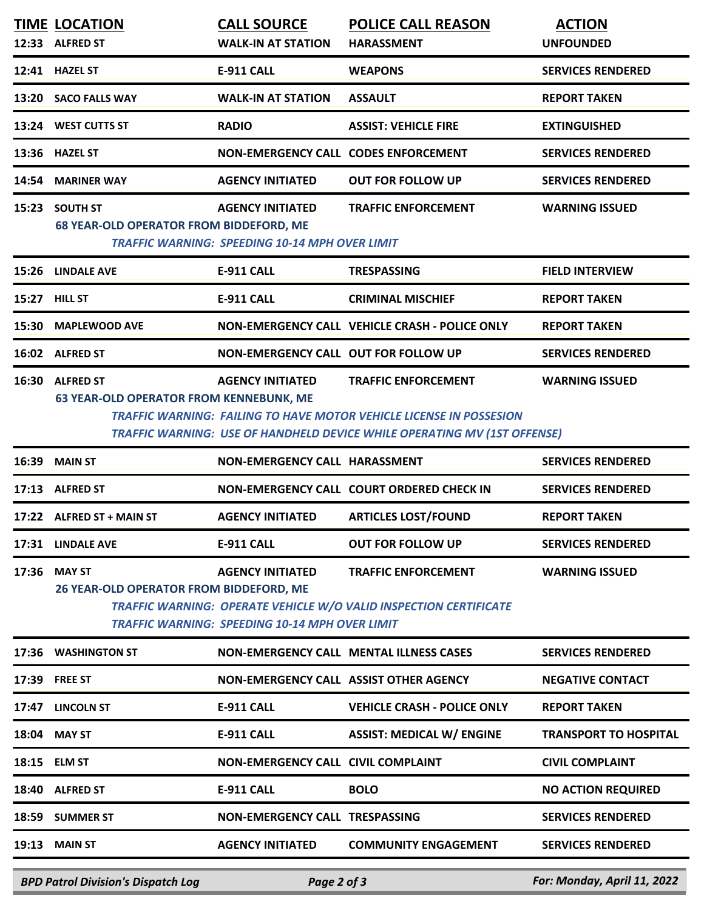|       | <b>TIME LOCATION</b><br>12:33 ALFRED ST                            | <b>CALL SOURCE</b><br><b>WALK-IN AT STATION</b>                                  | <b>POLICE CALL REASON</b><br><b>HARASSMENT</b>                                                                                                                                              | <b>ACTION</b><br><b>UNFOUNDED</b> |
|-------|--------------------------------------------------------------------|----------------------------------------------------------------------------------|---------------------------------------------------------------------------------------------------------------------------------------------------------------------------------------------|-----------------------------------|
|       | 12:41 HAZEL ST                                                     | <b>E-911 CALL</b>                                                                | <b>WEAPONS</b>                                                                                                                                                                              | <b>SERVICES RENDERED</b>          |
|       | 13:20 SACO FALLS WAY                                               | <b>WALK-IN AT STATION</b>                                                        | <b>ASSAULT</b>                                                                                                                                                                              | <b>REPORT TAKEN</b>               |
|       | 13:24 WEST CUTTS ST                                                | <b>RADIO</b>                                                                     | <b>ASSIST: VEHICLE FIRE</b>                                                                                                                                                                 | <b>EXTINGUISHED</b>               |
|       | 13:36 HAZEL ST                                                     | NON-EMERGENCY CALL CODES ENFORCEMENT                                             |                                                                                                                                                                                             | <b>SERVICES RENDERED</b>          |
| 14:54 | <b>MARINER WAY</b>                                                 | <b>AGENCY INITIATED</b>                                                          | <b>OUT FOR FOLLOW UP</b>                                                                                                                                                                    | <b>SERVICES RENDERED</b>          |
| 15:23 | <b>SOUTH ST</b><br><b>68 YEAR-OLD OPERATOR FROM BIDDEFORD, ME</b>  | <b>AGENCY INITIATED</b><br><b>TRAFFIC WARNING: SPEEDING 10-14 MPH OVER LIMIT</b> | <b>TRAFFIC ENFORCEMENT</b>                                                                                                                                                                  | <b>WARNING ISSUED</b>             |
| 15:26 | <b>LINDALE AVE</b>                                                 | <b>E-911 CALL</b>                                                                | <b>TRESPASSING</b>                                                                                                                                                                          | <b>FIELD INTERVIEW</b>            |
|       | 15:27 HILL ST                                                      | <b>E-911 CALL</b>                                                                | <b>CRIMINAL MISCHIEF</b>                                                                                                                                                                    | <b>REPORT TAKEN</b>               |
| 15:30 | <b>MAPLEWOOD AVE</b>                                               |                                                                                  | NON-EMERGENCY CALL VEHICLE CRASH - POLICE ONLY                                                                                                                                              | <b>REPORT TAKEN</b>               |
|       | 16:02 ALFRED ST                                                    | NON-EMERGENCY CALL OUT FOR FOLLOW UP                                             |                                                                                                                                                                                             | <b>SERVICES RENDERED</b>          |
| 16:30 | <b>ALFRED ST</b><br><b>63 YEAR-OLD OPERATOR FROM KENNEBUNK, ME</b> | <b>AGENCY INITIATED</b>                                                          | <b>TRAFFIC ENFORCEMENT</b><br><b>TRAFFIC WARNING: FAILING TO HAVE MOTOR VEHICLE LICENSE IN POSSESION</b><br><b>TRAFFIC WARNING: USE OF HANDHELD DEVICE WHILE OPERATING MV (1ST OFFENSE)</b> | <b>WARNING ISSUED</b>             |
|       |                                                                    |                                                                                  |                                                                                                                                                                                             |                                   |
| 16:39 | <b>MAIN ST</b>                                                     | <b>NON-EMERGENCY CALL HARASSMENT</b>                                             |                                                                                                                                                                                             | <b>SERVICES RENDERED</b>          |
| 17:13 | <b>ALFRED ST</b>                                                   |                                                                                  | NON-EMERGENCY CALL COURT ORDERED CHECK IN                                                                                                                                                   | <b>SERVICES RENDERED</b>          |
|       | 17:22 ALFRED ST + MAIN ST                                          | <b>AGENCY INITIATED</b>                                                          | <b>ARTICLES LOST/FOUND</b>                                                                                                                                                                  | <b>REPORT TAKEN</b>               |
|       | 17:31 LINDALE AVE                                                  | <b>E-911 CALL</b>                                                                | <b>OUT FOR FOLLOW UP</b>                                                                                                                                                                    | <b>SERVICES RENDERED</b>          |
| 17:36 | <b>MAY ST</b><br>26 YEAR-OLD OPERATOR FROM BIDDEFORD, ME           | <b>AGENCY INITIATED</b><br><b>TRAFFIC WARNING: SPEEDING 10-14 MPH OVER LIMIT</b> | <b>TRAFFIC ENFORCEMENT</b><br>TRAFFIC WARNING: OPERATE VEHICLE W/O VALID INSPECTION CERTIFICATE                                                                                             | <b>WARNING ISSUED</b>             |
|       | 17:36 WASHINGTON ST                                                |                                                                                  | <b>NON-EMERGENCY CALL MENTAL ILLNESS CASES</b>                                                                                                                                              | <b>SERVICES RENDERED</b>          |
|       | 17:39 FREE ST                                                      | NON-EMERGENCY CALL ASSIST OTHER AGENCY                                           |                                                                                                                                                                                             | <b>NEGATIVE CONTACT</b>           |
|       | 17:47 LINCOLN ST                                                   | <b>E-911 CALL</b>                                                                | <b>VEHICLE CRASH - POLICE ONLY</b>                                                                                                                                                          | <b>REPORT TAKEN</b>               |
|       | 18:04 MAY ST                                                       | <b>E-911 CALL</b>                                                                | <b>ASSIST: MEDICAL W/ ENGINE</b>                                                                                                                                                            | <b>TRANSPORT TO HOSPITAL</b>      |
|       | 18:15 ELM ST                                                       | <b>NON-EMERGENCY CALL CIVIL COMPLAINT</b>                                        |                                                                                                                                                                                             | <b>CIVIL COMPLAINT</b>            |
|       | 18:40 ALFRED ST                                                    | <b>E-911 CALL</b>                                                                | <b>BOLO</b>                                                                                                                                                                                 | <b>NO ACTION REQUIRED</b>         |
| 18:59 | <b>SUMMER ST</b>                                                   | <b>NON-EMERGENCY CALL TRESPASSING</b>                                            |                                                                                                                                                                                             | <b>SERVICES RENDERED</b>          |

*BPD Patrol Division's Dispatch Log Page 2 of 3 For: Monday, April 11, 2022*